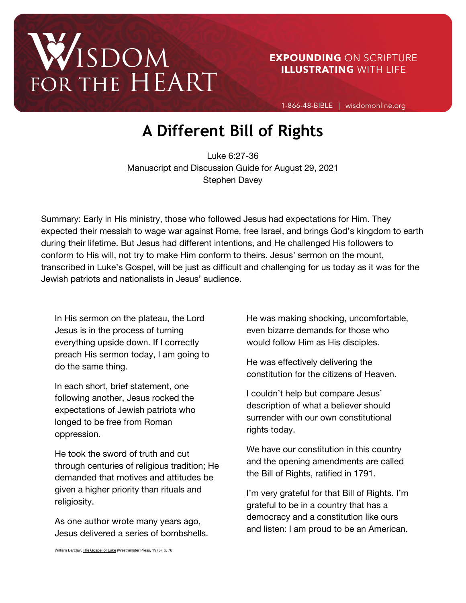# WISDOM FOR THE HEART

#### **EXPOUNDING ON SCRIPTURE ILLUSTRATING WITH LIFE**

1-866-48-BIBLE | wisdomonline.org

# **A Different Bill of Rights**

Luke 6:27-36 Manuscript and Discussion Guide for August 29, 2021 Stephen Davey

Summary: Early in His ministry, those who followed Jesus had expectations for Him. They expected their messiah to wage war against Rome, free Israel, and brings God's kingdom to earth during their lifetime. But Jesus had different intentions, and He challenged His followers to conform to His will, not try to make Him conform to theirs. Jesus' sermon on the mount, transcribed in Luke's Gospel, will be just as difficult and challenging for us today as it was for the Jewish patriots and nationalists in Jesus' audience.

In His sermon on the plateau, the Lord Jesus is in the process of turning everything upside down. If I correctly preach His sermon today, I am going to do the same thing.

In each short, brief statement, one following another, Jesus rocked the expectations of Jewish patriots who longed to be free from Roman oppression.

He took the sword of truth and cut through centuries of religious tradition; He demanded that motives and attitudes be given a higher priority than rituals and religiosity.

As one author wrote many years ago, Jesus delivered a series of bombshells. He was making shocking, uncomfortable, even bizarre demands for those who would follow Him as His disciples.

He was effectively delivering the constitution for the citizens of Heaven.

I couldn't help but compare Jesus' description of what a believer should surrender with our own constitutional rights today.

We have our constitution in this country and the opening amendments are called the Bill of Rights, ratified in 1791.

I'm very grateful for that Bill of Rights. I'm grateful to be in a country that has a democracy and a constitution like ours and listen: I am proud to be an American.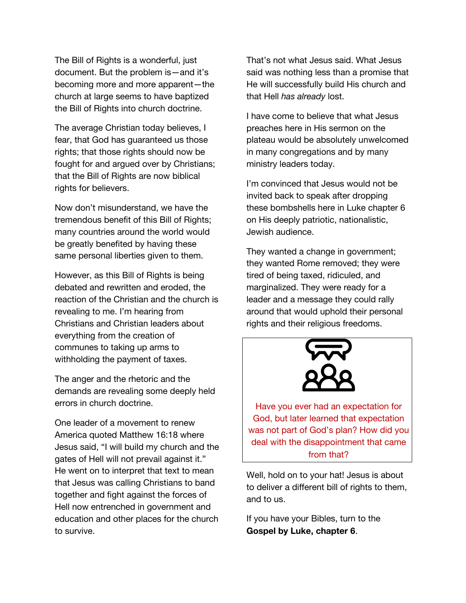The Bill of Rights is a wonderful, just document. But the problem is—and it's becoming more and more apparent—the church at large seems to have baptized the Bill of Rights into church doctrine.

The average Christian today believes, I fear, that God has guaranteed us those rights; that those rights should now be fought for and argued over by Christians; that the Bill of Rights are now biblical rights for believers.

Now don't misunderstand, we have the tremendous benefit of this Bill of Rights; many countries around the world would be greatly benefited by having these same personal liberties given to them.

However, as this Bill of Rights is being debated and rewritten and eroded, the reaction of the Christian and the church is revealing to me. I'm hearing from Christians and Christian leaders about everything from the creation of communes to taking up arms to withholding the payment of taxes.

The anger and the rhetoric and the demands are revealing some deeply held errors in church doctrine.

One leader of a movement to renew America quoted Matthew 16:18 where Jesus said, "I will build my church and the gates of Hell will not prevail against it." He went on to interpret that text to mean that Jesus was calling Christians to band together and fight against the forces of Hell now entrenched in government and education and other places for the church to survive.

That's not what Jesus said. What Jesus said was nothing less than a promise that He will successfully build His church and that Hell *has already* lost.

I have come to believe that what Jesus preaches here in His sermon on the plateau would be absolutely unwelcomed in many congregations and by many ministry leaders today.

I'm convinced that Jesus would not be invited back to speak after dropping these bombshells here in Luke chapter 6 on His deeply patriotic, nationalistic, Jewish audience.

They wanted a change in government; they wanted Rome removed; they were tired of being taxed, ridiculed, and marginalized. They were ready for a leader and a message they could rally around that would uphold their personal rights and their religious freedoms.



Have you ever had an expectation for God, but later learned that expectation was not part of God's plan? How did you deal with the disappointment that came from that?

Well, hold on to your hat! Jesus is about to deliver a different bill of rights to them, and to us.

If you have your Bibles, turn to the **Gospel by Luke, chapter 6**.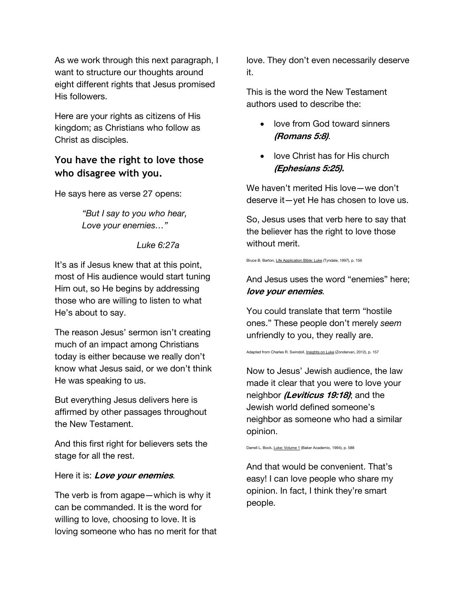As we work through this next paragraph, I want to structure our thoughts around eight different rights that Jesus promised His followers.

Here are your rights as citizens of His kingdom; as Christians who follow as Christ as disciples.

#### **You have the right to love those who disagree with you.**

He says here as verse 27 opens:

*"But I say to you who hear, Love your enemies…"*

*Luke 6:27a*

It's as if Jesus knew that at this point, most of His audience would start tuning Him out, so He begins by addressing those who are willing to listen to what He's about to say.

The reason Jesus' sermon isn't creating much of an impact among Christians today is either because we really don't know what Jesus said, or we don't think He was speaking to us.

But everything Jesus delivers here is affirmed by other passages throughout the New Testament.

And this first right for believers sets the stage for all the rest.

Here it is: **Love your enemies**.

The verb is from agape—which is why it can be commanded. It is the word for willing to love, choosing to love. It is loving someone who has no merit for that

love. They don't even necessarily deserve it.

This is the word the New Testament authors used to describe the:

- love from God toward sinners **(Romans 5:8)**.
- love Christ has for His church **(Ephesians 5:25).**

We haven't merited His love—we don't deserve it—yet He has chosen to love us.

So, Jesus uses that verb here to say that the believer has the right to love those without merit.

Bruce B. Barton, Life Application Bible: Luke (Tyndale, 1997), p. 156

And Jesus uses the word "enemies" here; **love your enemies**.

You could translate that term "hostile ones." These people don't merely *seem* unfriendly to you, they really are.

Adapted from Charles R. Swindoll, *Insights on Luke* (Zondervan, 2012), p. 157

Now to Jesus' Jewish audience, the law made it clear that you were to love your neighbor **(Leviticus 19:18)**; and the Jewish world defined someone's neighbor as someone who had a similar opinion.

Darrell L. Bock, Luke: Volume 1 (Baker Academic, 1994), p. 588

And that would be convenient. That's easy! I can love people who share my opinion. In fact, I think they're smart people.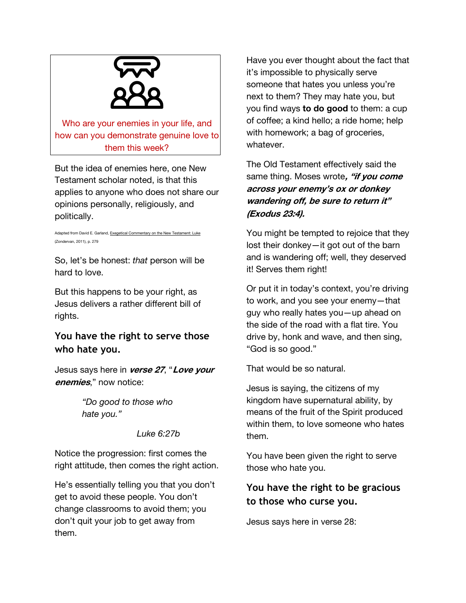

Who are your enemies in your life, and how can you demonstrate genuine love to them this week?

But the idea of enemies here, one New Testament scholar noted, is that this applies to anyone who does not share our opinions personally, religiously, and politically.

#### Adapted from David E. Garland, Exegetical Commentary on the New Test (Zondervan, 2011), p. 279

So, let's be honest: *that* person will be hard to love.

But this happens to be your right, as Jesus delivers a rather different bill of rights.

# **You have the right to serve those who hate you.**

Jesus says here in **verse 27**, "**Love your enemies**," now notice:

> *"Do good to those who hate you."*

> > *Luke 6:27b*

Notice the progression: first comes the right attitude, then comes the right action.

He's essentially telling you that you don't get to avoid these people. You don't change classrooms to avoid them; you don't quit your job to get away from them.

Have you ever thought about the fact that it's impossible to physically serve someone that hates you unless you're next to them? They may hate you, but you find ways **to do good** to them: a cup of coffee; a kind hello; a ride home; help with homework; a bag of groceries, whatever.

The Old Testament effectively said the same thing. Moses wrote**, "if you come across your enemy's ox or donkey wandering off, be sure to return it" (Exodus 23:4).**

You might be tempted to rejoice that they lost their donkey—it got out of the barn and is wandering off; well, they deserved it! Serves them right!

Or put it in today's context, you're driving to work, and you see your enemy—that guy who really hates you—up ahead on the side of the road with a flat tire. You drive by, honk and wave, and then sing, "God is so good."

That would be so natural.

Jesus is saying, the citizens of my kingdom have supernatural ability, by means of the fruit of the Spirit produced within them, to love someone who hates them.

You have been given the right to serve those who hate you.

# **You have the right to be gracious to those who curse you.**

Jesus says here in verse 28: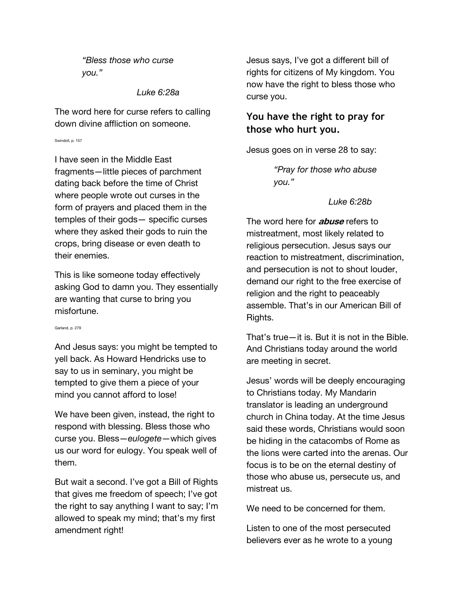*"Bless those who curse you."*

*Luke 6:28a*

The word here for curse refers to calling down divine affliction on someone.

Swindoll, p. 157

I have seen in the Middle East fragments—little pieces of parchment dating back before the time of Christ where people wrote out curses in the form of prayers and placed them in the temples of their gods— specific curses where they asked their gods to ruin the crops, bring disease or even death to their enemies.

This is like someone today effectively asking God to damn you. They essentially are wanting that curse to bring you misfortune.

Garland, p. 279

And Jesus says: you might be tempted to yell back. As Howard Hendricks use to say to us in seminary, you might be tempted to give them a piece of your mind you cannot afford to lose!

We have been given, instead, the right to respond with blessing. Bless those who curse you. Bless—*eulogete*—which gives us our word for eulogy. You speak well of them.

But wait a second. I've got a Bill of Rights that gives me freedom of speech; I've got the right to say anything I want to say; I'm allowed to speak my mind; that's my first amendment right!

Jesus says, I've got a different bill of rights for citizens of My kingdom. You now have the right to bless those who curse you.

#### **You have the right to pray for those who hurt you.**

Jesus goes on in verse 28 to say:

*"Pray for those who abuse you."*

*Luke 6:28b*

The word here for **abuse** refers to mistreatment, most likely related to religious persecution. Jesus says our reaction to mistreatment, discrimination, and persecution is not to shout louder, demand our right to the free exercise of religion and the right to peaceably assemble. That's in our American Bill of Rights.

That's true—it is. But it is not in the Bible. And Christians today around the world are meeting in secret.

Jesus' words will be deeply encouraging to Christians today. My Mandarin translator is leading an underground church in China today. At the time Jesus said these words, Christians would soon be hiding in the catacombs of Rome as the lions were carted into the arenas. Our focus is to be on the eternal destiny of those who abuse us, persecute us, and mistreat us.

We need to be concerned for them.

Listen to one of the most persecuted believers ever as he wrote to a young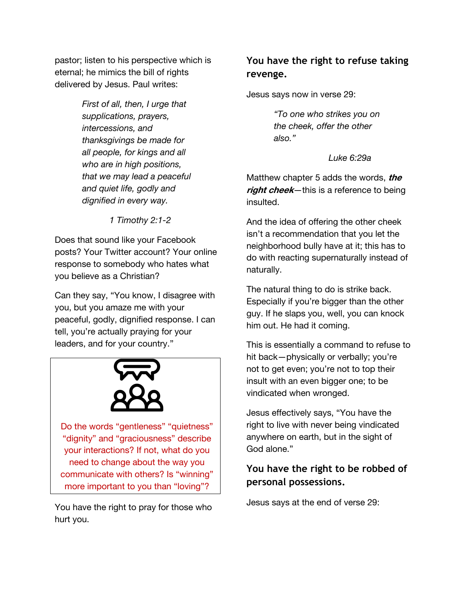pastor; listen to his perspective which is eternal; he mimics the bill of rights delivered by Jesus. Paul writes:

> *First of all, then, I urge that supplications, prayers, intercessions, and thanksgivings be made for all people, for kings and all who are in high positions, that we may lead a peaceful and quiet life, godly and dignified in every way.*

> > *1 Timothy 2:1-2*

Does that sound like your Facebook posts? Your Twitter account? Your online response to somebody who hates what you believe as a Christian?

Can they say, "You know, I disagree with you, but you amaze me with your peaceful, godly, dignified response. I can tell, you're actually praying for your leaders, and for your country."



Do the words "gentleness" "quietness" "dignity" and "graciousness" describe your interactions? If not, what do you need to change about the way you communicate with others? Is "winning" more important to you than "loving"?

You have the right to pray for those who hurt you.

# **You have the right to refuse taking revenge.**

Jesus says now in verse 29:

*"To one who strikes you on the cheek, offer the other also."*

*Luke 6:29a* 

Matthew chapter 5 adds the words, **the right cheek**—this is a reference to being insulted.

And the idea of offering the other cheek isn't a recommendation that you let the neighborhood bully have at it; this has to do with reacting supernaturally instead of naturally.

The natural thing to do is strike back. Especially if you're bigger than the other guy. If he slaps you, well, you can knock him out. He had it coming.

This is essentially a command to refuse to hit back—physically or verbally; you're not to get even; you're not to top their insult with an even bigger one; to be vindicated when wronged.

Jesus effectively says, "You have the right to live with never being vindicated anywhere on earth, but in the sight of God alone."

# **You have the right to be robbed of personal possessions.**

Jesus says at the end of verse 29: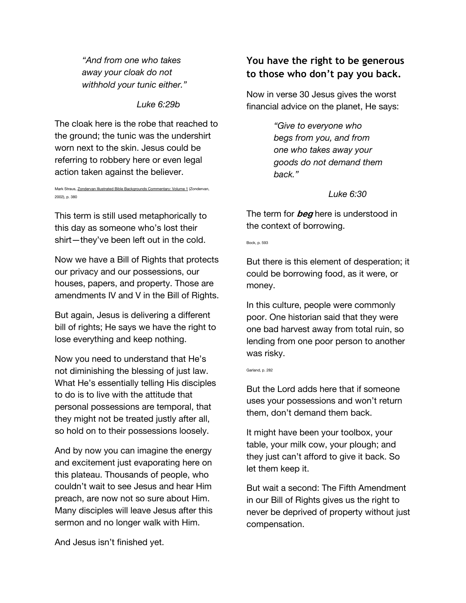*"And from one who takes away your cloak do not withhold your tunic either."*

*Luke 6:29b*

The cloak here is the robe that reached to the ground; the tunic was the undershirt worn next to the skin. Jesus could be referring to robbery here or even legal action taken against the believer.

Mark Straus, Zondervan Illustrated Bible Backgrounds Commentary: Volume 1 (Zondervan, 2002), p. 380

This term is still used metaphorically to this day as someone who's lost their shirt—they've been left out in the cold.

Now we have a Bill of Rights that protects our privacy and our possessions, our houses, papers, and property. Those are amendments IV and V in the Bill of Rights.

But again, Jesus is delivering a different bill of rights; He says we have the right to lose everything and keep nothing.

Now you need to understand that He's not diminishing the blessing of just law. What He's essentially telling His disciples to do is to live with the attitude that personal possessions are temporal, that they might not be treated justly after all, so hold on to their possessions loosely.

And by now you can imagine the energy and excitement just evaporating here on this plateau. Thousands of people, who couldn't wait to see Jesus and hear Him preach, are now not so sure about Him. Many disciples will leave Jesus after this sermon and no longer walk with Him.

And Jesus isn't finished yet.

#### **You have the right to be generous to those who don't pay you back.**

Now in verse 30 Jesus gives the worst financial advice on the planet, He says:

> *"Give to everyone who begs from you, and from one who takes away your goods do not demand them back."*

> > *Luke 6:30*

The term for **beg** here is understood in the context of borrowing.

Bock, p. 593

But there is this element of desperation; it could be borrowing food, as it were, or money.

In this culture, people were commonly poor. One historian said that they were one bad harvest away from total ruin, so lending from one poor person to another was risky.

Garland, p. 282

But the Lord adds here that if someone uses your possessions and won't return them, don't demand them back.

It might have been your toolbox, your table, your milk cow, your plough; and they just can't afford to give it back. So let them keep it.

But wait a second: The Fifth Amendment in our Bill of Rights gives us the right to never be deprived of property without just compensation.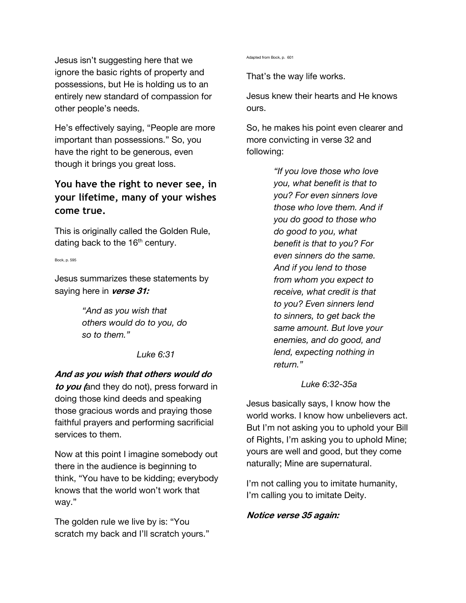Jesus isn't suggesting here that we ignore the basic rights of property and possessions, but He is holding us to an entirely new standard of compassion for other people's needs.

He's effectively saying, "People are more important than possessions." So, you have the right to be generous, even though it brings you great loss.

### **You have the right to never see, in your lifetime, many of your wishes come true.**

This is originally called the Golden Rule, dating back to the  $16<sup>th</sup>$  century.

Bock, p. 595

Jesus summarizes these statements by saying here in **verse 31:**

> *"And as you wish that others would do to you, do so to them."*

> > *Luke 6:31*

#### **And as you wish that others would do**

**to you (**and they do not), press forward in doing those kind deeds and speaking those gracious words and praying those faithful prayers and performing sacrificial services to them.

Now at this point I imagine somebody out there in the audience is beginning to think, "You have to be kidding; everybody knows that the world won't work that way."

The golden rule we live by is: "You scratch my back and I'll scratch yours." Adapted from Bock, p. 601

That's the way life works.

Jesus knew their hearts and He knows ours.

So, he makes his point even clearer and more convicting in verse 32 and following:

> *"If you love those who love you, what benefit is that to you? For even sinners love those who love them. And if you do good to those who do good to you, what benefit is that to you? For even sinners do the same. And if you lend to those from whom you expect to receive, what credit is that to you? Even sinners lend to sinners, to get back the same amount. But love your enemies, and do good, and lend, expecting nothing in return."*

#### *Luke 6:32-35a*

Jesus basically says, I know how the world works. I know how unbelievers act. But I'm not asking you to uphold your Bill of Rights, I'm asking you to uphold Mine; yours are well and good, but they come naturally; Mine are supernatural.

I'm not calling you to imitate humanity, I'm calling you to imitate Deity.

#### **Notice verse 35 again:**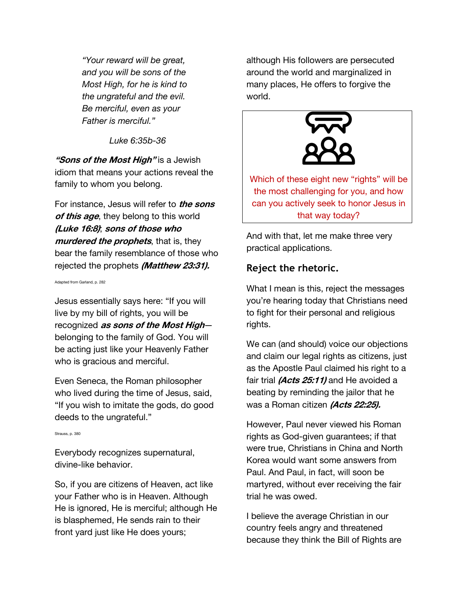*"Your reward will be great, and you will be sons of the Most High, for he is kind to the ungrateful and the evil. Be merciful, even as your Father is merciful."*

*Luke 6:35b-36*

**"Sons of the Most High"** is a Jewish idiom that means your actions reveal the family to whom you belong.

For instance, Jesus will refer to **the sons of this age**, they belong to this world **(Luke 16:8)**; **sons of those who murdered the prophets**, that is, they bear the family resemblance of those who rejected the prophets **(Matthew 23:31).**

Adapted from Garland, p. 282

Jesus essentially says here: "If you will live by my bill of rights, you will be recognized **as sons of the Most High** belonging to the family of God. You will be acting just like your Heavenly Father who is gracious and merciful.

Even Seneca, the Roman philosopher who lived during the time of Jesus, said, "If you wish to imitate the gods, do good deeds to the ungrateful."

Strauss, p. 380

Everybody recognizes supernatural, divine-like behavior.

So, if you are citizens of Heaven, act like your Father who is in Heaven. Although He is ignored, He is merciful; although He is blasphemed, He sends rain to their front yard just like He does yours;

although His followers are persecuted around the world and marginalized in many places, He offers to forgive the world.



Which of these eight new "rights" will be the most challenging for you, and how can you actively seek to honor Jesus in that way today?

And with that, let me make three very practical applications.

#### **Reject the rhetoric.**

What I mean is this, reject the messages you're hearing today that Christians need to fight for their personal and religious rights.

We can (and should) voice our objections and claim our legal rights as citizens, just as the Apostle Paul claimed his right to a fair trial **(Acts 25:11)** and He avoided a beating by reminding the jailor that he was a Roman citizen **(Acts 22:25).**

However, Paul never viewed his Roman rights as God-given guarantees; if that were true, Christians in China and North Korea would want some answers from Paul. And Paul, in fact, will soon be martyred, without ever receiving the fair trial he was owed.

I believe the average Christian in our country feels angry and threatened because they think the Bill of Rights are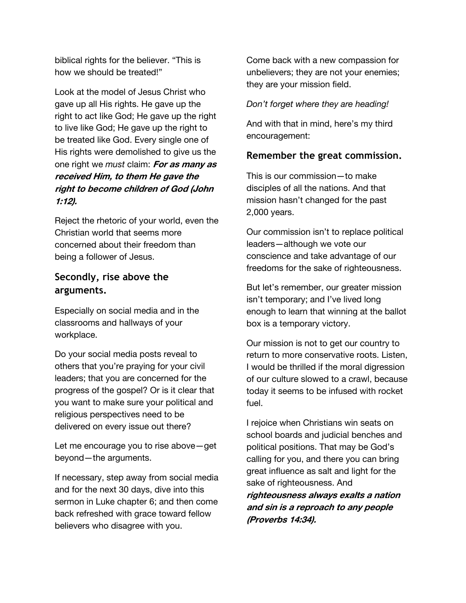biblical rights for the believer. "This is how we should be treated!"

Look at the model of Jesus Christ who gave up all His rights. He gave up the right to act like God; He gave up the right to live like God; He gave up the right to be treated like God. Every single one of His rights were demolished to give us the one right we *must* claim: **For as many as received Him, to them He gave the right to become children of God (John 1:12).**

Reject the rhetoric of your world, even the Christian world that seems more concerned about their freedom than being a follower of Jesus.

#### **Secondly, rise above the arguments.**

Especially on social media and in the classrooms and hallways of your workplace.

Do your social media posts reveal to others that you're praying for your civil leaders; that you are concerned for the progress of the gospel? Or is it clear that you want to make sure your political and religious perspectives need to be delivered on every issue out there?

Let me encourage you to rise above—get beyond—the arguments.

If necessary, step away from social media and for the next 30 days, dive into this sermon in Luke chapter 6; and then come back refreshed with grace toward fellow believers who disagree with you.

Come back with a new compassion for unbelievers; they are not your enemies; they are your mission field.

#### *Don't forget where they are heading!*

And with that in mind, here's my third encouragement:

#### **Remember the great commission.**

This is our commission—to make disciples of all the nations. And that mission hasn't changed for the past 2,000 years.

Our commission isn't to replace political leaders—although we vote our conscience and take advantage of our freedoms for the sake of righteousness.

But let's remember, our greater mission isn't temporary; and I've lived long enough to learn that winning at the ballot box is a temporary victory.

Our mission is not to get our country to return to more conservative roots. Listen, I would be thrilled if the moral digression of our culture slowed to a crawl, because today it seems to be infused with rocket fuel.

I rejoice when Christians win seats on school boards and judicial benches and political positions. That may be God's calling for you, and there you can bring great influence as salt and light for the sake of righteousness. And **righteousness always exalts a nation and sin is a reproach to any people (Proverbs 14:34).**